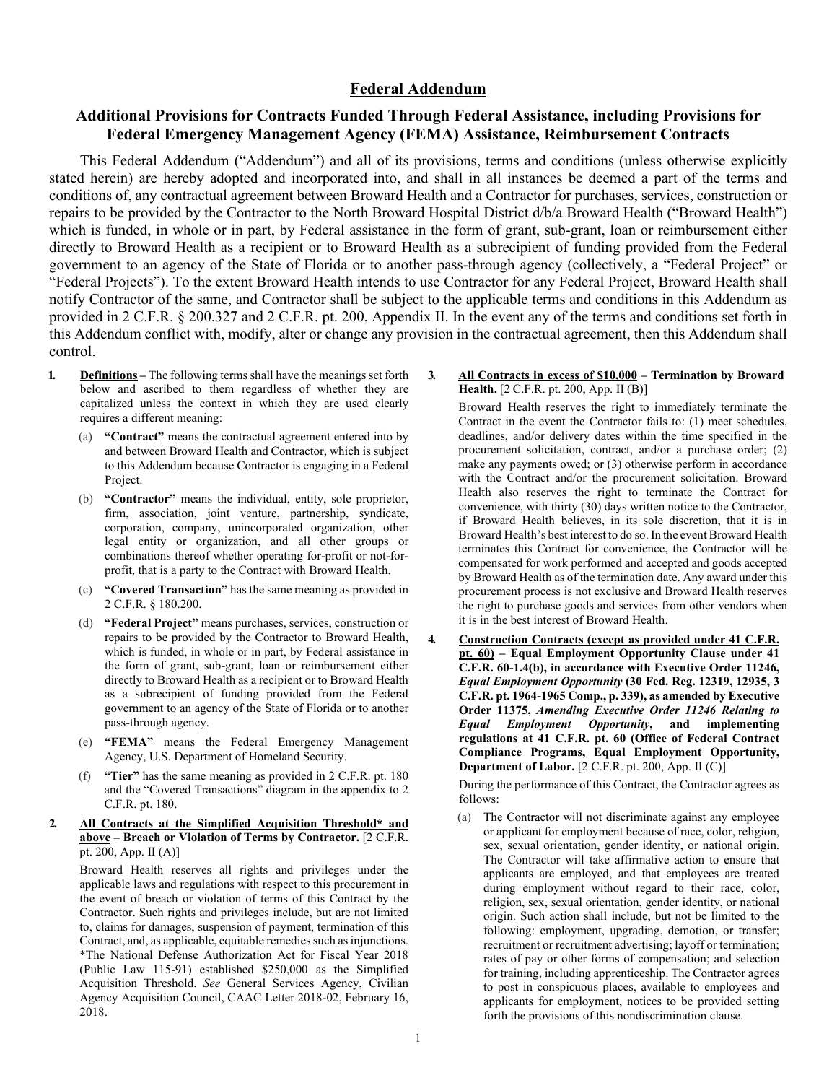### **Federal Addendum**

## **Additional Provisions for Contracts Funded Through Federal Assistance, including Provisions for Federal Emergency Management Agency (FEMA) Assistance, Reimbursement Contracts**

This Federal Addendum ("Addendum") and all of its provisions, terms and conditions (unless otherwise explicitly stated herein) are hereby adopted and incorporated into, and shall in all instances be deemed a part of the terms and conditions of, any contractual agreement between Broward Health and a Contractor for purchases, services, construction or repairs to be provided by the Contractor to the North Broward Hospital District d/b/a Broward Health ("Broward Health") which is funded, in whole or in part, by Federal assistance in the form of grant, sub-grant, loan or reimbursement either directly to Broward Health as a recipient or to Broward Health as a subrecipient of funding provided from the Federal government to an agency of the State of Florida or to another pass-through agency (collectively, a "Federal Project" or "Federal Projects"). To the extent Broward Health intends to use Contractor for any Federal Project, Broward Health shall notify Contractor of the same, and Contractor shall be subject to the applicable terms and conditions in this Addendum as provided in 2 C.F.R. § 200.327 and 2 C.F.R. pt. 200, Appendix II. In the event any of the terms and conditions set forth in this Addendum conflict with, modify, alter or change any provision in the contractual agreement, then this Addendum shall control.

- **1. Definitions –** The following terms shall have the meanings set forth below and ascribed to them regardless of whether they are capitalized unless the context in which they are used clearly requires a different meaning:
	- (a) **"Contract"** means the contractual agreement entered into by and between Broward Health and Contractor, which is subject to this Addendum because Contractor is engaging in a Federal Project.
	- (b) **"Contractor"** means the individual, entity, sole proprietor, firm, association, joint venture, partnership, syndicate, corporation, company, unincorporated organization, other legal entity or organization, and all other groups or combinations thereof whether operating for-profit or not-forprofit, that is a party to the Contract with Broward Health.
	- (c) **"Covered Transaction"** has the same meaning as provided in 2 C.F.R. § 180.200.
	- (d) **"Federal Project"** means purchases, services, construction or repairs to be provided by the Contractor to Broward Health, which is funded, in whole or in part, by Federal assistance in the form of grant, sub‐grant, loan or reimbursement either directly to Broward Health as a recipient or to Broward Health as a subrecipient of funding provided from the Federal government to an agency of the State of Florida or to another pass‐through agency.
	- (e) **"FEMA"** means the Federal Emergency Management Agency, U.S. Department of Homeland Security.
	- (f) **"Tier"** has the same meaning as provided in 2 C.F.R. pt. 180 and the "Covered Transactions" diagram in the appendix to 2 C.F.R. pt. 180.
- **2. All Contracts at the Simplified Acquisition Threshold\* and above – Breach or Violation of Terms by Contractor.** [2 C.F.R. pt. 200, App. II (A)]

Broward Health reserves all rights and privileges under the applicable laws and regulations with respect to this procurement in the event of breach or violation of terms of this Contract by the Contractor. Such rights and privileges include, but are not limited to, claims for damages, suspension of payment, termination of this Contract, and, as applicable, equitable remedies such as injunctions. \*The National Defense Authorization Act for Fiscal Year 2018 (Public Law 115‐91) established \$250,000 as the Simplified Acquisition Threshold. *See* General Services Agency, Civilian Agency Acquisition Council, CAAC Letter 2018‐02, February 16, 2018.

**3. All Contracts in excess of \$10,000 – Termination by Broward Health.** [2 C.F.R. pt. 200, App. II (B)]

Broward Health reserves the right to immediately terminate the Contract in the event the Contractor fails to: (1) meet schedules, deadlines, and/or delivery dates within the time specified in the procurement solicitation, contract, and/or a purchase order; (2) make any payments owed; or (3) otherwise perform in accordance with the Contract and/or the procurement solicitation. Broward Health also reserves the right to terminate the Contract for convenience, with thirty (30) days written notice to the Contractor, if Broward Health believes, in its sole discretion, that it is in Broward Health's best interest to do so. In the event Broward Health terminates this Contract for convenience, the Contractor will be compensated for work performed and accepted and goods accepted by Broward Health as of the termination date. Any award under this procurement process is not exclusive and Broward Health reserves the right to purchase goods and services from other vendors when it is in the best interest of Broward Health.

**4. Construction Contracts (except as provided under 41 C.F.R. pt. 60) – Equal Employment Opportunity Clause under 41 C.F.R. 60‐1.4(b), in accordance with Executive Order 11246,**  *Equal Employment Opportunity* **(30 Fed. Reg. 12319, 12935, 3 C.F.R. pt. 1964‐1965 Comp., p. 339), as amended by Executive Order 11375,** *Amending Executive Order 11246 Relating to Equal Employment Opportunity***, and implementing regulations at 41 C.F.R. pt. 60 (Office of Federal Contract Compliance Programs, Equal Employment Opportunity, Department of Labor.** [2 C.F.R. pt. 200, App. II (C)]

During the performance of this Contract, the Contractor agrees as follows:

(a) The Contractor will not discriminate against any employee or applicant for employment because of race, color, religion, sex, sexual orientation, gender identity, or national origin. The Contractor will take affirmative action to ensure that applicants are employed, and that employees are treated during employment without regard to their race, color, religion, sex, sexual orientation, gender identity, or national origin. Such action shall include, but not be limited to the following: employment, upgrading, demotion, or transfer; recruitment or recruitment advertising; layoff or termination; rates of pay or other forms of compensation; and selection for training, including apprenticeship. The Contractor agrees to post in conspicuous places, available to employees and applicants for employment, notices to be provided setting forth the provisions of this nondiscrimination clause.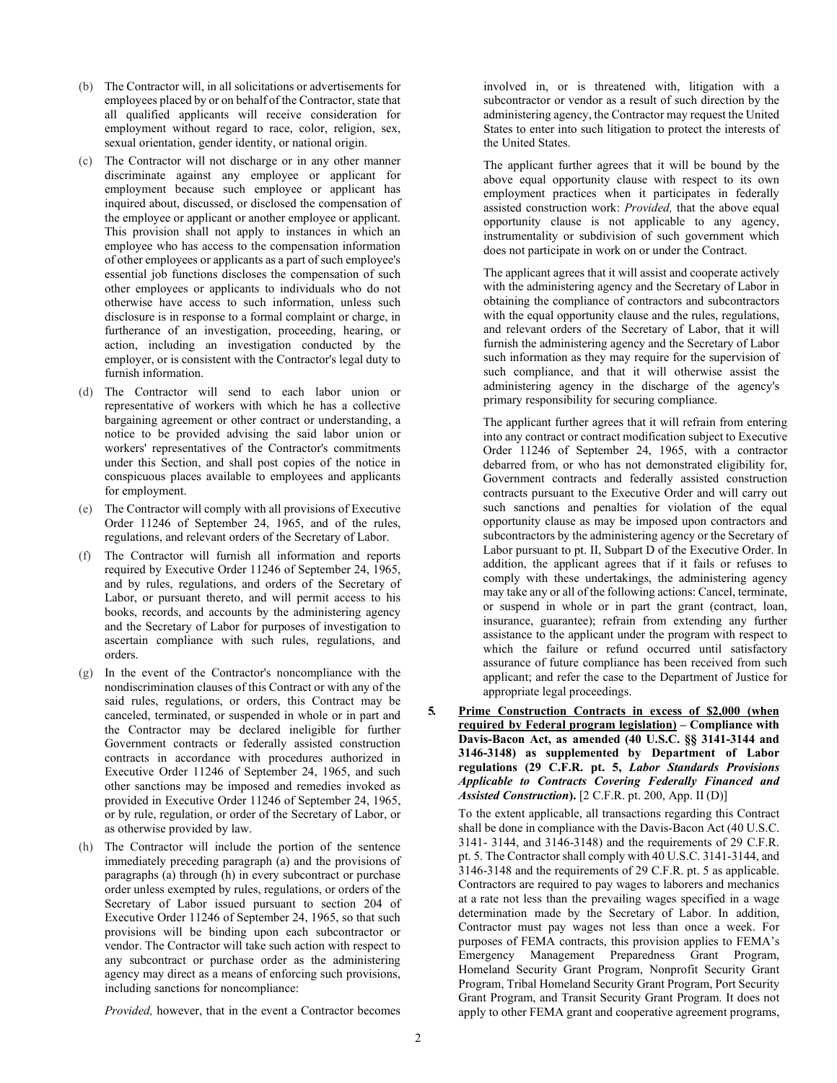- (b) The Contractor will, in all solicitations or advertisements for employees placed by or on behalf of the Contractor, state that all qualified applicants will receive consideration for employment without regard to race, color, religion, sex, sexual orientation, gender identity, or national origin.
- (c) The Contractor will not discharge or in any other manner discriminate against any employee or applicant for employment because such employee or applicant has inquired about, discussed, or disclosed the compensation of the employee or applicant or another employee or applicant. This provision shall not apply to instances in which an employee who has access to the compensation information of other employees or applicants as a part of such employee's essential job functions discloses the compensation of such other employees or applicants to individuals who do not otherwise have access to such information, unless such disclosure is in response to a formal complaint or charge, in furtherance of an investigation, proceeding, hearing, or action, including an investigation conducted by the employer, or is consistent with the Contractor's legal duty to furnish information.
- (d) The Contractor will send to each labor union or representative of workers with which he has a collective bargaining agreement or other contract or understanding, a notice to be provided advising the said labor union or workers' representatives of the Contractor's commitments under this Section, and shall post copies of the notice in conspicuous places available to employees and applicants for employment.
- (e) The Contractor will comply with all provisions of Executive Order 11246 of September 24, 1965, and of the rules, regulations, and relevant orders of the Secretary of Labor.
- (f) The Contractor will furnish all information and reports required by Executive Order 11246 of September 24, 1965, and by rules, regulations, and orders of the Secretary of Labor, or pursuant thereto, and will permit access to his books, records, and accounts by the administering agency and the Secretary of Labor for purposes of investigation to ascertain compliance with such rules, regulations, and orders.
- (g) In the event of the Contractor's noncompliance with the nondiscrimination clauses of this Contract or with any of the said rules, regulations, or orders, this Contract may be canceled, terminated, or suspended in whole or in part and the Contractor may be declared ineligible for further Government contracts or federally assisted construction contracts in accordance with procedures authorized in Executive Order 11246 of September 24, 1965, and such other sanctions may be imposed and remedies invoked as provided in Executive Order 11246 of September 24, 1965, or by rule, regulation, or order of the Secretary of Labor, or as otherwise provided by law.
- (h) The Contractor will include the portion of the sentence immediately preceding paragraph (a) and the provisions of paragraphs (a) through (h) in every subcontract or purchase order unless exempted by rules, regulations, or orders of the Secretary of Labor issued pursuant to section 204 of Executive Order 11246 of September 24, 1965, so that such provisions will be binding upon each subcontractor or vendor. The Contractor will take such action with respect to any subcontract or purchase order as the administering agency may direct as a means of enforcing such provisions, including sanctions for noncompliance:

involved in, or is threatened with, litigation with a subcontractor or vendor as a result of such direction by the administering agency, the Contractor may request the United States to enter into such litigation to protect the interests of the United States.

The applicant further agrees that it will be bound by the above equal opportunity clause with respect to its own employment practices when it participates in federally assisted construction work: *Provided,* that the above equal opportunity clause is not applicable to any agency, instrumentality or subdivision of such government which does not participate in work on or under the Contract.

The applicant agrees that it will assist and cooperate actively with the administering agency and the Secretary of Labor in obtaining the compliance of contractors and subcontractors with the equal opportunity clause and the rules, regulations, and relevant orders of the Secretary of Labor, that it will furnish the administering agency and the Secretary of Labor such information as they may require for the supervision of such compliance, and that it will otherwise assist the administering agency in the discharge of the agency's primary responsibility for securing compliance.

The applicant further agrees that it will refrain from entering into any contract or contract modification subject to Executive Order 11246 of September 24, 1965, with a contractor debarred from, or who has not demonstrated eligibility for, Government contracts and federally assisted construction contracts pursuant to the Executive Order and will carry out such sanctions and penalties for violation of the equal opportunity clause as may be imposed upon contractors and subcontractors by the administering agency or the Secretary of Labor pursuant to pt. II, Subpart D of the Executive Order. In addition, the applicant agrees that if it fails or refuses to comply with these undertakings, the administering agency may take any or all of the following actions: Cancel, terminate, or suspend in whole or in part the grant (contract, loan, insurance, guarantee); refrain from extending any further assistance to the applicant under the program with respect to which the failure or refund occurred until satisfactory assurance of future compliance has been received from such applicant; and refer the case to the Department of Justice for appropriate legal proceedings.

**5. Prime Construction Contracts in excess of \$2,000 (when required by Federal program legislation) – Compliance with Davis‐Bacon Act, as amended (40 U.S.C. §§ 3141‐3144 and 3146‐3148) as supplemented by Department of Labor regulations (29 C.F.R. pt. 5,** *Labor Standards Provisions Applicable to Contracts Covering Federally Financed and Assisted Construction***).** [2 C.F.R. pt. 200, App. II (D)]

To the extent applicable, all transactions regarding this Contract shall be done in compliance with the Davis-Bacon Act (40 U.S.C. 3141- 3144, and 3146-3148) and the requirements of 29 C.F.R. pt. 5. The Contractor shall comply with 40 U.S.C. 3141-3144, and 3146-3148 and the requirements of 29 C.F.R. pt. 5 as applicable. Contractors are required to pay wages to laborers and mechanics at a rate not less than the prevailing wages specified in a wage determination made by the Secretary of Labor. In addition, Contractor must pay wages not less than once a week. For purposes of FEMA contracts, this provision applies to FEMA's Emergency Management Preparedness Grant Program, Homeland Security Grant Program, Nonprofit Security Grant Program, Tribal Homeland Security Grant Program, Port Security Grant Program, and Transit Security Grant Program. It does not apply to other FEMA grant and cooperative agreement programs,

*Provided,* however, that in the event a Contractor becomes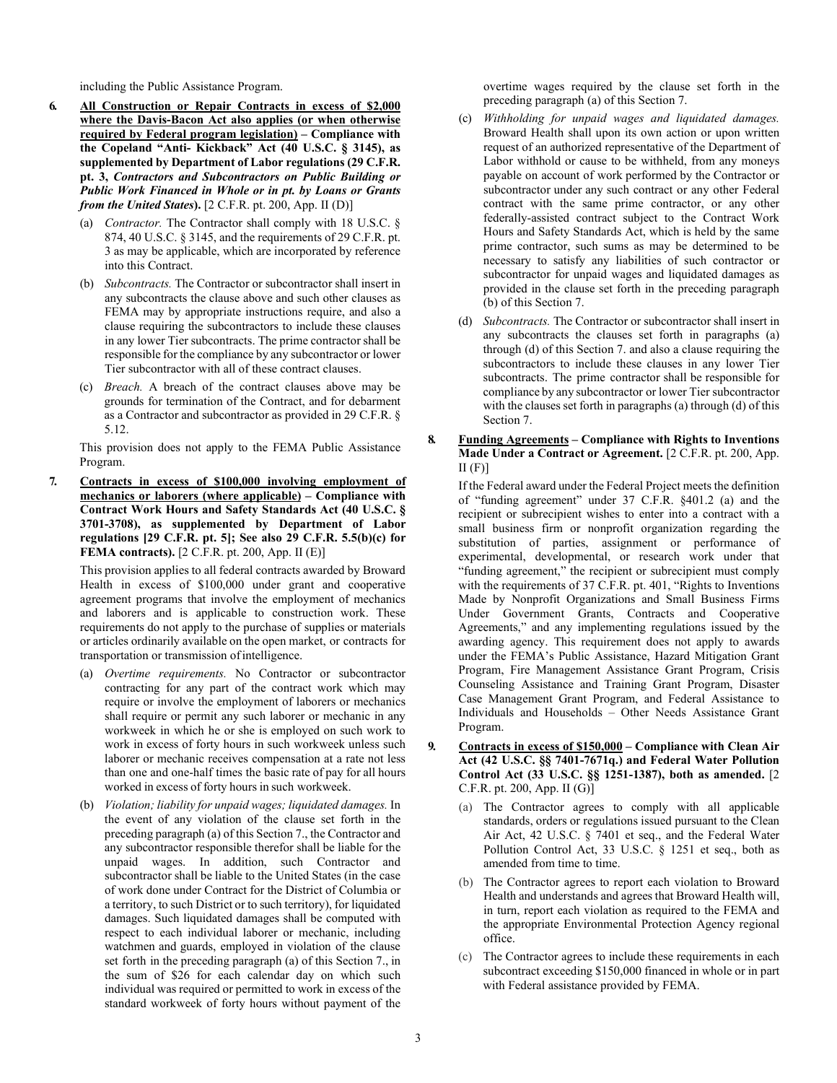including the Public Assistance Program.

- **6. All Construction or Repair Contracts in excess of \$2,000 where the Davis-Bacon Act also applies (or when otherwise required by Federal program legislation) – Compliance with the Copeland "Anti‐ Kickback" Act (40 U.S.C. § 3145), as supplemented by Department of Labor regulations (29 C.F.R. pt. 3,** *Contractors and Subcontractors on Public Building or Public Work Financed in Whole or in pt. by Loans or Grants from the United States***).** [2 C.F.R. pt. 200, App. II (D)]
	- Contractor. The Contractor shall comply with 18 U.S.C. § 874, 40 U.S.C. § 3145, and the requirements of 29 C.F.R. pt. 3 as may be applicable, which are incorporated by reference into this Contract.
	- (b) *Subcontracts.* The Contractor or subcontractor shall insert in any subcontracts the clause above and such other clauses as FEMA may by appropriate instructions require, and also a clause requiring the subcontractors to include these clauses in any lower Tier subcontracts. The prime contractor shall be responsible for the compliance by any subcontractor or lower Tier subcontractor with all of these contract clauses.
	- (c) *Breach.* A breach of the contract clauses above may be grounds for termination of the Contract, and for debarment as a Contractor and subcontractor as provided in 29 C.F.R. § 5.12.

This provision does not apply to the FEMA Public Assistance Program.

**7. Contracts in excess of \$100,000 involving employment of mechanics or laborers (where applicable) – Compliance with Contract Work Hours and Safety Standards Act (40 U.S.C. § 3701‐3708), as supplemented by Department of Labor regulations [29 C.F.R. pt. 5]; See also 29 C.F.R. 5.5(b)(c) for FEMA contracts).** [2 C.F.R. pt. 200, App. II (E)]

This provision applies to all federal contracts awarded by Broward Health in excess of \$100,000 under grant and cooperative agreement programs that involve the employment of mechanics and laborers and is applicable to construction work. These requirements do not apply to the purchase of supplies or materials or articles ordinarily available on the open market, or contracts for transportation or transmission ofintelligence.

- (a) *Overtime requirements.* No Contractor or subcontractor contracting for any part of the contract work which may require or involve the employment of laborers or mechanics shall require or permit any such laborer or mechanic in any workweek in which he or she is employed on such work to work in excess of forty hours in such workweek unless such laborer or mechanic receives compensation at a rate not less than one and one‐half times the basic rate of pay for all hours worked in excess of forty hours in such workweek.
- (b) *Violation; liability for unpaid wages; liquidated damages.* In the event of any violation of the clause set forth in the preceding paragraph (a) of this Section 7., the Contractor and any subcontractor responsible therefor shall be liable for the unpaid wages. In addition, such Contractor and subcontractor shall be liable to the United States (in the case of work done under Contract for the District of Columbia or a territory, to such District or to such territory), for liquidated damages. Such liquidated damages shall be computed with respect to each individual laborer or mechanic, including watchmen and guards, employed in violation of the clause set forth in the preceding paragraph (a) of this Section 7., in the sum of \$26 for each calendar day on which such individual was required or permitted to work in excess of the standard workweek of forty hours without payment of the

overtime wages required by the clause set forth in the preceding paragraph (a) of this Section 7.

- (c) *Withholding for unpaid wages and liquidated damages.* Broward Health shall upon its own action or upon written request of an authorized representative of the Department of Labor withhold or cause to be withheld, from any moneys payable on account of work performed by the Contractor or subcontractor under any such contract or any other Federal contract with the same prime contractor, or any other federally‐assisted contract subject to the Contract Work Hours and Safety Standards Act, which is held by the same prime contractor, such sums as may be determined to be necessary to satisfy any liabilities of such contractor or subcontractor for unpaid wages and liquidated damages as provided in the clause set forth in the preceding paragraph (b) of this Section 7.
- (d) *Subcontracts.* The Contractor or subcontractor shall insert in any subcontracts the clauses set forth in paragraphs (a) through (d) of this Section 7. and also a clause requiring the subcontractors to include these clauses in any lower Tier subcontracts. The prime contractor shall be responsible for compliance by any subcontractor or lower Tier subcontractor with the clauses set forth in paragraphs (a) through (d) of this Section 7.

#### **8. Funding Agreements – Compliance with Rights to Inventions Made Under a Contract or Agreement.** [2 C.F.R. pt. 200, App.  $II(F)]$

If the Federal award under the Federal Project meets the definition of "funding agreement" under 37 C.F.R. §401.2 (a) and the recipient or subrecipient wishes to enter into a contract with a small business firm or nonprofit organization regarding the substitution of parties, assignment or performance of experimental, developmental, or research work under that "funding agreement," the recipient or subrecipient must comply with the requirements of 37 C.F.R. pt. 401, "Rights to Inventions Made by Nonprofit Organizations and Small Business Firms Under Government Grants, Contracts and Cooperative Agreements," and any implementing regulations issued by the awarding agency. This requirement does not apply to awards under the FEMA's Public Assistance, Hazard Mitigation Grant Program, Fire Management Assistance Grant Program, Crisis Counseling Assistance and Training Grant Program, Disaster Case Management Grant Program, and Federal Assistance to Individuals and Households – Other Needs Assistance Grant Program.

- **9. Contracts in excess of \$150,000 – Compliance with Clean Air Act (42 U.S.C. §§ 7401‐7671q.) and Federal Water Pollution Control Act (33 U.S.C. §§ 1251‐1387), both as amended.** [2 C.F.R. pt. 200, App. II (G)]
	- (a) The Contractor agrees to comply with all applicable standards, orders or regulations issued pursuant to the Clean Air Act, 42 U.S.C. § 7401 et seq., and the Federal Water Pollution Control Act, 33 U.S.C. § 1251 et seq., both as amended from time to time.
	- (b) The Contractor agrees to report each violation to Broward Health and understands and agrees that Broward Health will, in turn, report each violation as required to the FEMA and the appropriate Environmental Protection Agency regional office.
	- (c) The Contractor agrees to include these requirements in each subcontract exceeding \$150,000 financed in whole or in part with Federal assistance provided by FEMA.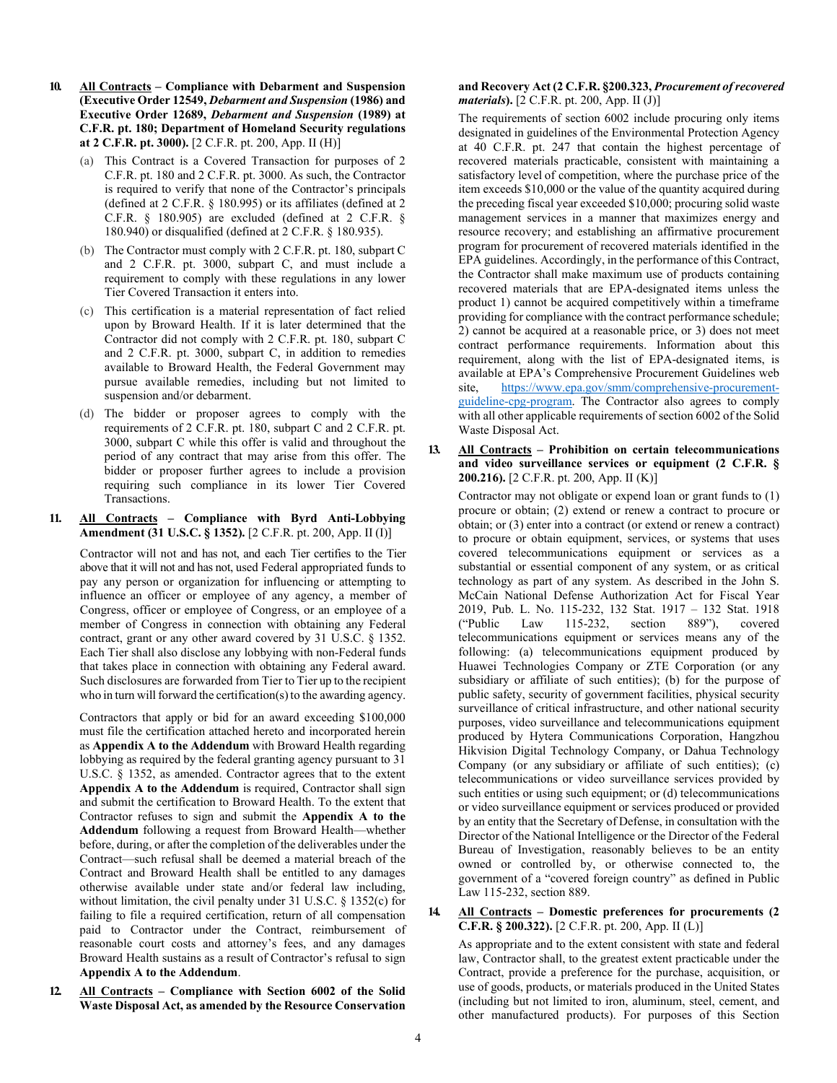- **10. All Contracts – Compliance with Debarment and Suspension (Executive Order 12549,** *Debarment and Suspension* **(1986) and Executive Order 12689,** *Debarment and Suspension* **(1989) at C.F.R. pt. 180; Department of Homeland Security regulations at 2 C.F.R. pt. 3000).** [2 C.F.R. pt. 200, App. II (H)]
	- (a) This Contract is a Covered Transaction for purposes of 2 C.F.R. pt. 180 and 2 C.F.R. pt. 3000. As such, the Contractor is required to verify that none of the Contractor's principals (defined at 2 C.F.R. § 180.995) or its affiliates (defined at 2 C.F.R. § 180.905) are excluded (defined at 2 C.F.R. § 180.940) or disqualified (defined at 2 C.F.R. § 180.935).
	- (b) The Contractor must comply with 2 C.F.R. pt. 180, subpart C and 2 C.F.R. pt. 3000, subpart C, and must include a requirement to comply with these regulations in any lower Tier Covered Transaction it enters into.
	- (c) This certification is a material representation of fact relied upon by Broward Health. If it is later determined that the Contractor did not comply with 2 C.F.R. pt. 180, subpart C and 2 C.F.R. pt. 3000, subpart C, in addition to remedies available to Broward Health, the Federal Government may pursue available remedies, including but not limited to suspension and/or debarment.
	- (d) The bidder or proposer agrees to comply with the requirements of 2 C.F.R. pt. 180, subpart C and 2 C.F.R. pt. 3000, subpart C while this offer is valid and throughout the period of any contract that may arise from this offer. The bidder or proposer further agrees to include a provision requiring such compliance in its lower Tier Covered Transactions.
- **11. All Contracts – Compliance with Byrd Anti‐Lobbying Amendment (31 U.S.C. § 1352).** [2 C.F.R. pt. 200, App. II (I)]

Contractor will not and has not, and each Tier certifies to the Tier above that it will not and has not, used Federal appropriated funds to pay any person or organization for influencing or attempting to influence an officer or employee of any agency, a member of Congress, officer or employee of Congress, or an employee of a member of Congress in connection with obtaining any Federal contract, grant or any other award covered by 31 U.S.C. § 1352. Each Tier shall also disclose any lobbying with non‐Federal funds that takes place in connection with obtaining any Federal award. Such disclosures are forwarded from Tier to Tier up to the recipient who in turn will forward the certification(s) to the awarding agency.

Contractors that apply or bid for an award exceeding \$100,000 must file the certification attached hereto and incorporated herein as **Appendix A to the Addendum** with Broward Health regarding lobbying as required by the federal granting agency pursuant to 31 U.S.C. § 1352, as amended. Contractor agrees that to the extent **Appendix A to the Addendum** is required, Contractor shall sign and submit the certification to Broward Health. To the extent that Contractor refuses to sign and submit the **Appendix A to the Addendum** following a request from Broward Health—whether before, during, or after the completion of the deliverables under the Contract—such refusal shall be deemed a material breach of the Contract and Broward Health shall be entitled to any damages otherwise available under state and/or federal law including, without limitation, the civil penalty under 31 U.S.C. § 1352(c) for failing to file a required certification, return of all compensation paid to Contractor under the Contract, reimbursement of reasonable court costs and attorney's fees, and any damages Broward Health sustains as a result of Contractor's refusal to sign **Appendix A to the Addendum**.

**12. All Contracts – Compliance with Section 6002 of the Solid Waste Disposal Act, as amended by the Resource Conservation** 

#### **and Recovery Act (2 C.F.R. §200.323,** *Procurement of recovered materials***).** [2 C.F.R. pt. 200, App. II (J)]

The requirements of section 6002 include procuring only items designated in guidelines of the Environmental Protection Agency at 40 C.F.R. pt. 247 that contain the highest percentage of recovered materials practicable, consistent with maintaining a satisfactory level of competition, where the purchase price of the item exceeds \$10,000 or the value of the quantity acquired during the preceding fiscal year exceeded \$10,000; procuring solid waste management services in a manner that maximizes energy and resource recovery; and establishing an affirmative procurement program for procurement of recovered materials identified in the EPA guidelines. Accordingly, in the performance of this Contract, the Contractor shall make maximum use of products containing recovered materials that are EPA‐designated items unless the product 1) cannot be acquired competitively within a timeframe providing for compliance with the contract performance schedule; 2) cannot be acquired at a reasonable price, or 3) does not meet contract performance requirements. Information about this requirement, along with the list of EPA‐designated items, is available at EPA's Comprehensive Procurement Guidelines web site, [https://www.epa.gov/smm/comprehensive-procurement](https://www.epa.gov/smm/comprehensive-procurement-guideline-cpg-program)[guideline-cpg-program.](https://www.epa.gov/smm/comprehensive-procurement-guideline-cpg-program) The Contractor also agrees to comply with all other applicable requirements of section 6002 of the Solid Waste Disposal Act.

**13. All Contracts – Prohibition on certain telecommunications and video surveillance services or equipment (2 C.F.R. § 200.216).** [2 C.F.R. pt. 200, App. II (K)]

Contractor may not obligate or expend loan or grant funds to (1) procure or obtain; (2) extend or renew a contract to procure or obtain; or (3) enter into a contract (or extend or renew a contract) to procure or obtain equipment, services, or systems that uses covered telecommunications equipment or services as a substantial or essential component of any system, or as critical technology as part of any system. As described in the John S. McCain National Defense Authorization Act for Fiscal Year 2019, Pub. L. No. 115-232, 132 Stat. 1917 – 132 Stat. 1918 ("Public Law 115-232, section 889"), covered telecommunications equipment or services means any of the following: (a) telecommunications equipment produced by Huawei Technologies Company or ZTE Corporation (or any subsidiary or affiliate of such entities); (b) for the purpose of public safety, security of government facilities, physical security surveillance of critical infrastructure, and other national security purposes, video surveillance and telecommunications equipment produced by Hytera Communications Corporation, Hangzhou Hikvision Digital Technology Company, or Dahua Technology Company (or any subsidiary or affiliate of such entities); (c) telecommunications or video surveillance services provided by such entities or using such equipment; or (d) telecommunications or video surveillance equipment or services produced or provided by an entity that the Secretary of Defense, in consultation with the Director of the National Intelligence or the Director of the Federal Bureau of Investigation, reasonably believes to be an entity owned or controlled by, or otherwise connected to, the government of a "covered foreign country" as defined in Public Law 115-232, section 889.

**14. All Contracts – Domestic preferences for procurements (2 C.F.R. § 200.322).** [2 C.F.R. pt. 200, App. II (L)]

As appropriate and to the extent consistent with state and federal law, Contractor shall, to the greatest extent practicable under the Contract, provide a preference for the purchase, acquisition, or use of goods, products, or materials produced in the United States (including but not limited to iron, aluminum, steel, cement, and other manufactured products). For purposes of this Section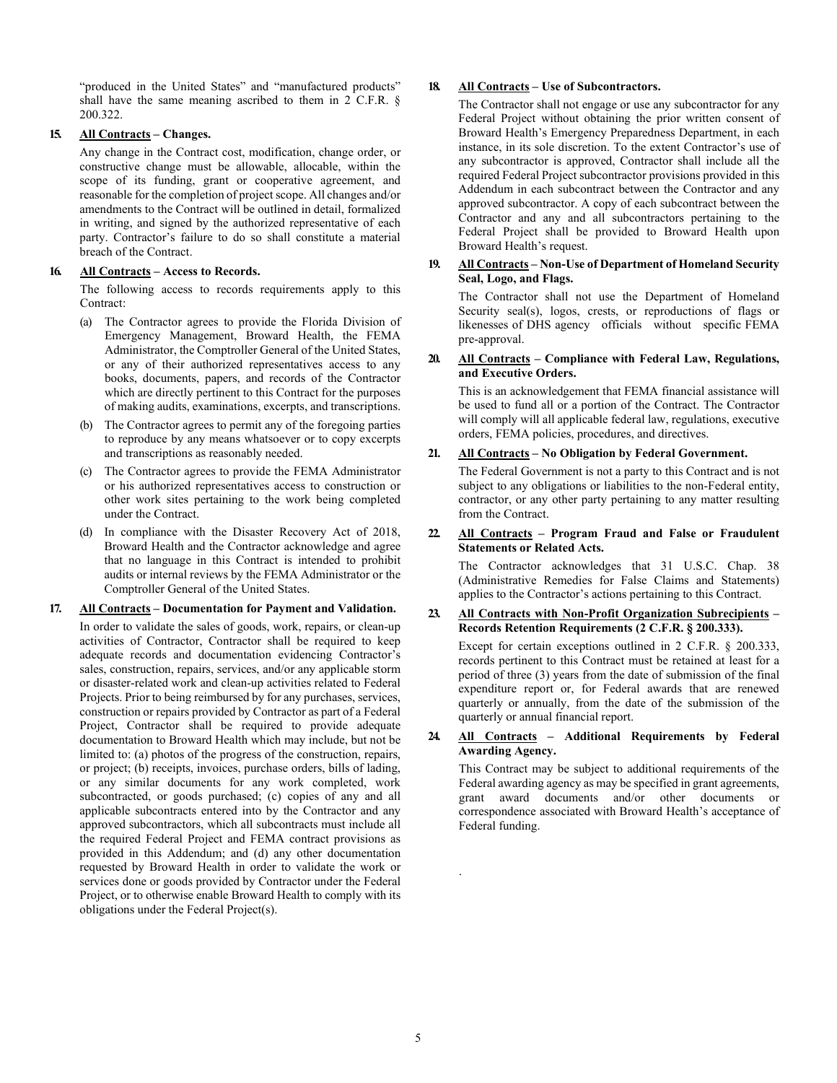"produced in the United States" and "manufactured products" shall have the same meaning ascribed to them in 2 C.F.R. § 200.322.

#### **15. All Contracts – Changes.**

Any change in the Contract cost, modification, change order, or constructive change must be allowable, allocable, within the scope of its funding, grant or cooperative agreement, and reasonable for the completion of project scope. All changes and/or amendments to the Contract will be outlined in detail, formalized in writing, and signed by the authorized representative of each party. Contractor's failure to do so shall constitute a material breach of the Contract.

#### **16. All Contracts – Access to Records.**

The following access to records requirements apply to this Contract:

- (a) The Contractor agrees to provide the Florida Division of Emergency Management, Broward Health, the FEMA Administrator, the Comptroller General of the United States, or any of their authorized representatives access to any books, documents, papers, and records of the Contractor which are directly pertinent to this Contract for the purposes of making audits, examinations, excerpts, and transcriptions.
- (b) The Contractor agrees to permit any of the foregoing parties to reproduce by any means whatsoever or to copy excerpts and transcriptions as reasonably needed.
- (c) The Contractor agrees to provide the FEMA Administrator or his authorized representatives access to construction or other work sites pertaining to the work being completed under the Contract.
- (d) In compliance with the Disaster Recovery Act of 2018, Broward Health and the Contractor acknowledge and agree that no language in this Contract is intended to prohibit audits or internal reviews by the FEMA Administrator or the Comptroller General of the United States.

#### **17. All Contracts – Documentation for Payment and Validation.**

In order to validate the sales of goods, work, repairs, or clean-up activities of Contractor, Contractor shall be required to keep adequate records and documentation evidencing Contractor's sales, construction, repairs, services, and/or any applicable storm or disaster-related work and clean-up activities related to Federal Projects. Prior to being reimbursed by for any purchases, services, construction or repairs provided by Contractor as part of a Federal Project, Contractor shall be required to provide adequate documentation to Broward Health which may include, but not be limited to: (a) photos of the progress of the construction, repairs, or project; (b) receipts, invoices, purchase orders, bills of lading, or any similar documents for any work completed, work subcontracted, or goods purchased; (c) copies of any and all applicable subcontracts entered into by the Contractor and any approved subcontractors, which all subcontracts must include all the required Federal Project and FEMA contract provisions as provided in this Addendum; and (d) any other documentation requested by Broward Health in order to validate the work or services done or goods provided by Contractor under the Federal Project, or to otherwise enable Broward Health to comply with its obligations under the Federal Project(s).

#### **18. All Contracts – Use of Subcontractors.**

The Contractor shall not engage or use any subcontractor for any Federal Project without obtaining the prior written consent of Broward Health's Emergency Preparedness Department, in each instance, in its sole discretion. To the extent Contractor's use of any subcontractor is approved, Contractor shall include all the required Federal Project subcontractor provisions provided in this Addendum in each subcontract between the Contractor and any approved subcontractor. A copy of each subcontract between the Contractor and any and all subcontractors pertaining to the Federal Project shall be provided to Broward Health upon Broward Health's request.

#### **19. All Contracts – Non‐Use of Department of Homeland Security Seal, Logo, and Flags.**

The Contractor shall not use the Department of Homeland Security seal(s), logos, crests, or reproductions of flags or likenesses of DHS agency officials without specific FEMA pre‐approval.

#### **20. All Contracts – Compliance with Federal Law, Regulations, and Executive Orders.**

This is an acknowledgement that FEMA financial assistance will be used to fund all or a portion of the Contract. The Contractor will comply will all applicable federal law, regulations, executive orders, FEMA policies, procedures, and directives.

#### **21. All Contracts – No Obligation by Federal Government.**

The Federal Government is not a party to this Contract and is not subject to any obligations or liabilities to the non-Federal entity, contractor, or any other party pertaining to any matter resulting from the Contract.

#### **22. All Contracts – Program Fraud and False or Fraudulent Statements or Related Acts.**

The Contractor acknowledges that 31 U.S.C. Chap. 38 (Administrative Remedies for False Claims and Statements) applies to the Contractor's actions pertaining to this Contract.

#### **23. All Contracts with Non‐Profit Organization Subrecipients – Records Retention Requirements (2 C.F.R. § 200.333).**

Except for certain exceptions outlined in 2 C.F.R. § 200.333, records pertinent to this Contract must be retained at least for a period of three (3) years from the date of submission of the final expenditure report or, for Federal awards that are renewed quarterly or annually, from the date of the submission of the quarterly or annual financial report.

#### **24. All Contracts – Additional Requirements by Federal Awarding Agency.**

This Contract may be subject to additional requirements of the Federal awarding agency as may be specified in grant agreements, grant award documents and/or other documents or correspondence associated with Broward Health's acceptance of Federal funding.

.